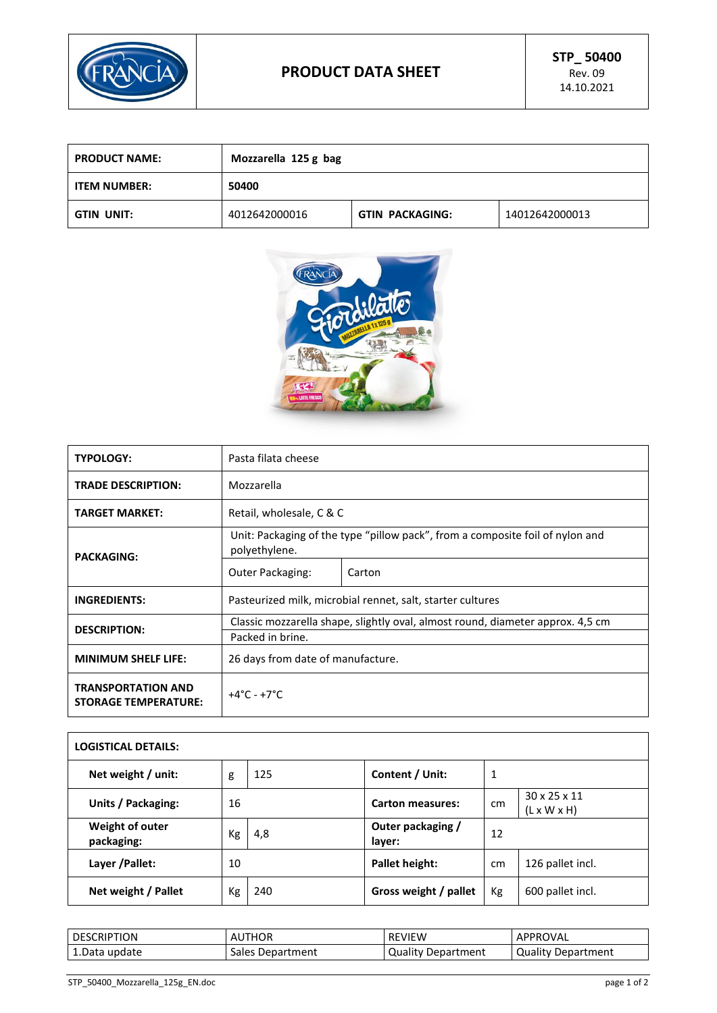

| <b>PRODUCT NAME:</b> | Mozzarella 125 g bag |                 |                |
|----------------------|----------------------|-----------------|----------------|
| ITEM NUMBER:         | 50400                |                 |                |
| GTIN UNIT:           | 4012642000016        | GTIN PACKAGING: | 14012642000013 |



| <b>TYPOLOGY:</b>                                         | Pasta filata cheese                                                                            |        |  |
|----------------------------------------------------------|------------------------------------------------------------------------------------------------|--------|--|
| <b>TRADE DESCRIPTION:</b>                                | Mozzarella                                                                                     |        |  |
| <b>TARGET MARKET:</b>                                    | Retail, wholesale, C & C                                                                       |        |  |
| <b>PACKAGING:</b>                                        | Unit: Packaging of the type "pillow pack", from a composite foil of nylon and<br>polyethylene. |        |  |
|                                                          | Outer Packaging:                                                                               | Carton |  |
| <b>INGREDIENTS:</b>                                      | Pasteurized milk, microbial rennet, salt, starter cultures                                     |        |  |
|                                                          | Classic mozzarella shape, slightly oval, almost round, diameter approx. 4,5 cm                 |        |  |
| <b>DESCRIPTION:</b>                                      | Packed in brine.                                                                               |        |  |
| <b>MINIMUM SHELF LIFE:</b>                               | 26 days from date of manufacture.                                                              |        |  |
| <b>TRANSPORTATION AND</b><br><b>STORAGE TEMPERATURE:</b> | $+4^{\circ}$ C - $+7^{\circ}$ C                                                                |        |  |

| <b>LOGISTICAL DETAILS:</b>    |    |     |                             |    |                                         |
|-------------------------------|----|-----|-----------------------------|----|-----------------------------------------|
| Net weight / unit:            | g  | 125 | Content / Unit:             | 1  |                                         |
| Units / Packaging:            | 16 |     | <b>Carton measures:</b>     | cm | 30 x 25 x 11<br>$(L \times W \times H)$ |
| Weight of outer<br>packaging: | Kg | 4,8 | Outer packaging /<br>layer: | 12 |                                         |
| Layer / Pallet:               | 10 |     | Pallet height:              | cm | 126 pallet incl.                        |
| Net weight / Pallet           | Кg | 240 | Gross weight / pallet       | Kg | 600 pallet incl.                        |

| <b>DESCRIPTION</b> | <b>AUTHOR</b>    | <b>REVIEW</b>      | APPROVAL           |
|--------------------|------------------|--------------------|--------------------|
| 1. Data update     | Sales Department | Quality Department | Quality Department |